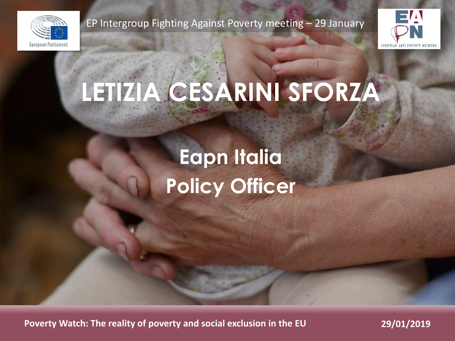

EP Intergroup Fighting Against Poverty meeting – 29 January



# **LETIZIA CESARINI SFORZA**

## **Eapn Italia Policy Officer**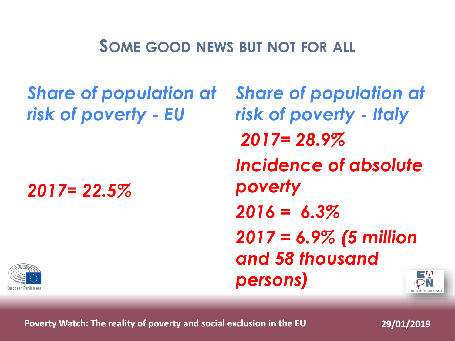#### **SOME GOOD NEWS BUT NOT FOR ALL**

*Share of population at risk of poverty - EU*

*2017= 22.5%*

*Share of population at risk of poverty - Italy 2017= 28.9% Incidence of absolute poverty 2016 = 6.3% 2017 = 6.9% (5 million and 58 thousand persons)*

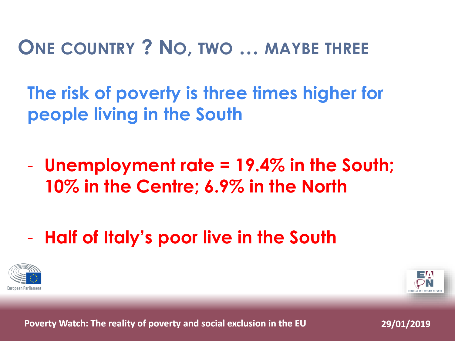#### **ONE COUNTRY ? NO, TWO … MAYBE THREE**

**The risk of poverty is three times higher for people living in the South**

- **Unemployment rate = 19.4% in the South; 10% in the Centre; 6.9% in the North**
- **Half of Italy's poor live in the South**



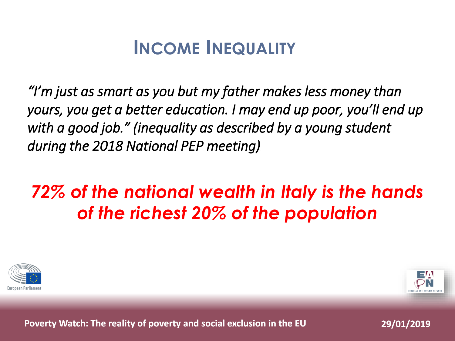## **INCOME INEQUALITY**

*"I'm just as smart as you but my father makes less money than yours, you get a better education. I may end up poor, you'll end up with a good job." (inequality as described by a young student during the 2018 National PEP meeting)* 

#### *72% of the national wealth in Italy is the hands of the richest 20% of the population*



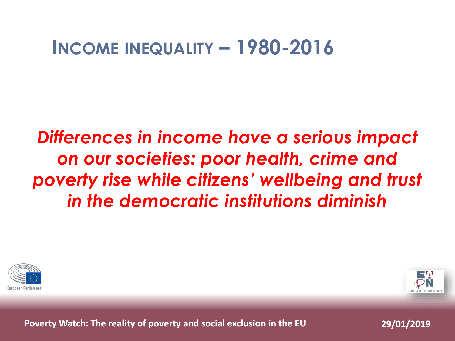#### **INCOME INEQUALITY – 1980-2016**

#### *Differences in income have a serious impact on our societies: poor health, crime and poverty rise while citizens' wellbeing and trust in the democratic institutions diminish*



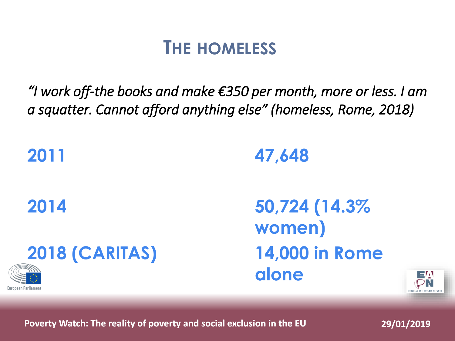#### **THE HOMELESS**

*"I work off-the books and make €350 per month, more or less. I am a squatter. Cannot afford anything else" (homeless, Rome, 2018)*

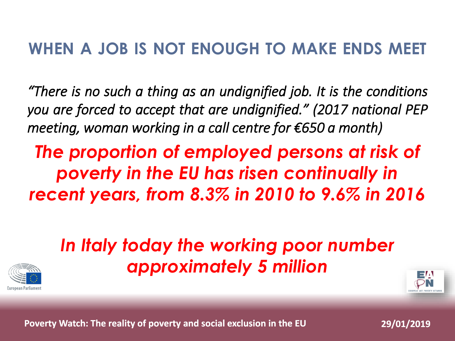#### **WHEN A JOB IS NOT ENOUGH TO MAKE ENDS MEET**

*"There is no such a thing as an undignified job. It is the conditions you are forced to accept that are undignified." (2017 national PEP meeting, woman working in a call centre for €650 a month)*

*The proportion of employed persons at risk of poverty in the EU has risen continually in recent years, from 8.3% in 2010 to 9.6% in 2016*

#### *In Italy today the working poor number approximately 5 million*



![](_page_6_Picture_5.jpeg)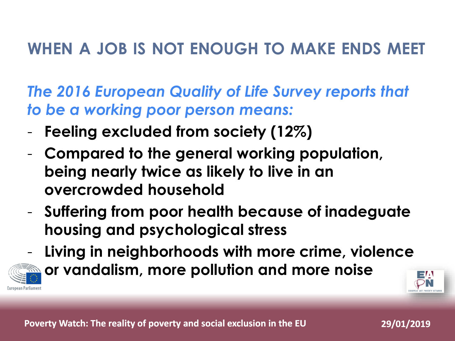#### **WHEN A JOB IS NOT ENOUGH TO MAKE ENDS MEET**

*The 2016 European Quality of Life Survey reports that to be a working poor person means:*

- **Feeling excluded from society (12%)**
- **Compared to the general working population, being nearly twice as likely to live in an overcrowded household**
- **Suffering from poor health because of inadeguate housing and psychological stress**

![](_page_7_Picture_5.jpeg)

- **Living in neighborhoods with more crime, violence or vandalism, more pollution and more noise**

![](_page_7_Picture_7.jpeg)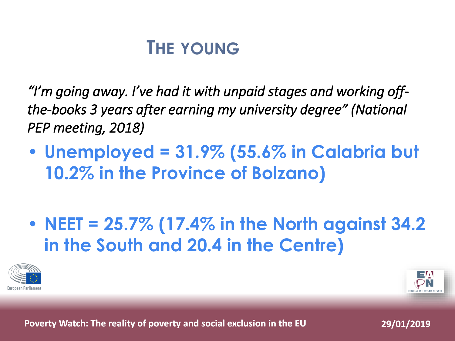### **THE YOUNG**

*"I'm going away. I've had it with unpaid stages and working offthe-books 3 years after earning my university degree" (National PEP meeting, 2018)* 

• **Unemployed = 31.9% (55.6% in Calabria but 10.2% in the Province of Bolzano)**

• **NEET = 25.7% (17.4% in the North against 34.2 in the South and 20.4 in the Centre)**

![](_page_8_Picture_4.jpeg)

![](_page_8_Picture_5.jpeg)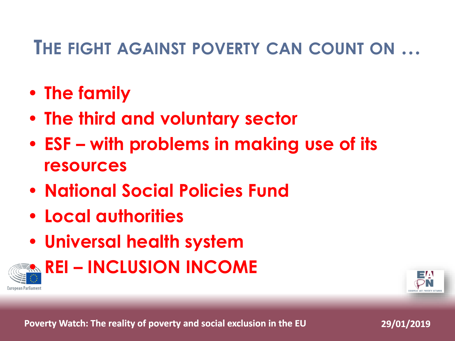#### **THE FIGHT AGAINST POVERTY CAN COUNT ON …**

- **The family**
- **The third and voluntary sector**
- **ESF – with problems in making use of its resources**
- **National Social Policies Fund**
- **Local authorities**
- **Universal health system**

![](_page_9_Picture_7.jpeg)

• **REI – INCLUSION INCOME** 

![](_page_9_Picture_9.jpeg)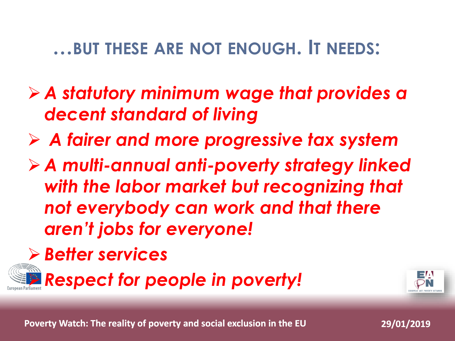#### **…BUT THESE ARE NOT ENOUGH. IT NEEDS:**

- ➢ *A statutory minimum wage that provides a decent standard of living*
- ➢ *A fairer and more progressive tax system*
- ➢ *A multi-annual anti-poverty strategy linked with the labor market but recognizing that not everybody can work and that there aren't jobs for everyone!*
- ➢ *Better services*

➢ *Respect for people in poverty!* 

![](_page_10_Picture_6.jpeg)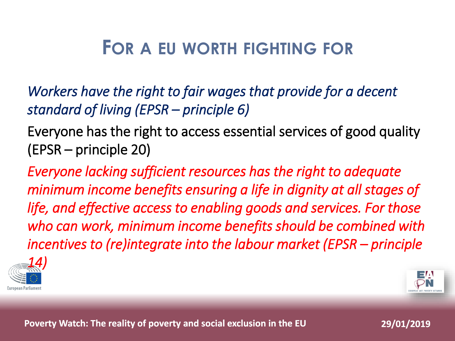### **FOR A EU WORTH FIGHTING FOR**

*Workers have the right to fair wages that provide for a decent standard of living (EPSR – principle 6)*

Everyone has the right to access essential services of good quality (EPSR – principle 20)

*Everyone lacking sufficient resources has the right to adequate minimum income benefits ensuring a life in dignity at all stages of life, and effective access to enabling goods and services. For those who can work, minimum income benefits should be combined with incentives to (re)integrate into the labour market (EPSR – principle* 

![](_page_11_Picture_4.jpeg)

![](_page_11_Picture_5.jpeg)